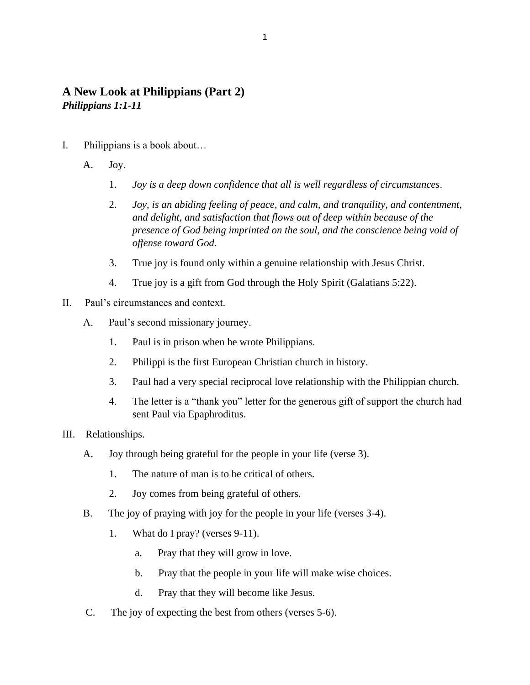# **A New Look at Philippians (Part 2)** *Philippians 1:1-11*

- I. Philippians is a book about…
	- A. Joy.
		- 1. *Joy is a deep down confidence that all is well regardless of circumstances*.
		- 2. *Joy, is an abiding feeling of peace, and calm, and tranquility, and contentment, and delight, and satisfaction that flows out of deep within because of the presence of God being imprinted on the soul, and the conscience being void of offense toward God.*
		- 3. True joy is found only within a genuine relationship with Jesus Christ.
		- 4. True joy is a gift from God through the Holy Spirit (Galatians 5:22).
- II. Paul's circumstances and context.
	- A. Paul's second missionary journey.
		- 1. Paul is in prison when he wrote Philippians.
		- 2. Philippi is the first European Christian church in history.
		- 3. Paul had a very special reciprocal love relationship with the Philippian church.
		- 4. The letter is a "thank you" letter for the generous gift of support the church had sent Paul via Epaphroditus.
- III. Relationships.
	- A. Joy through being grateful for the people in your life (verse 3).
		- 1. The nature of man is to be critical of others.
		- 2. Joy comes from being grateful of others.
	- B. The joy of praying with joy for the people in your life (verses 3-4).
		- 1. What do I pray? (verses 9-11).
			- a. Pray that they will grow in love.
			- b. Pray that the people in your life will make wise choices.
			- d. Pray that they will become like Jesus.
	- C. The joy of expecting the best from others (verses 5-6).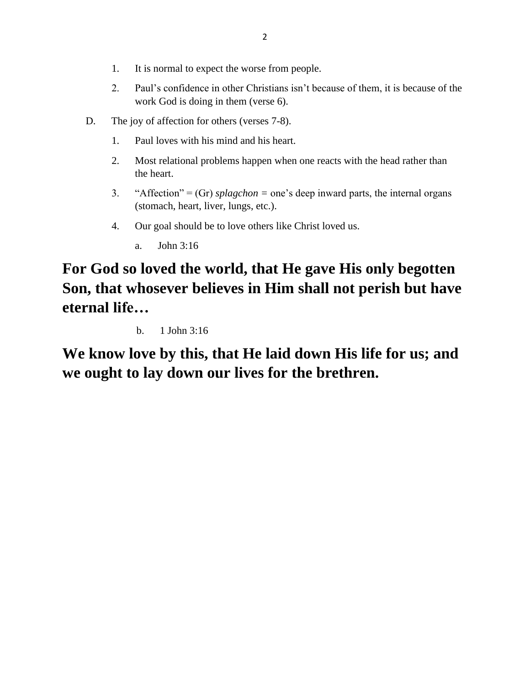- 1. It is normal to expect the worse from people.
- 2. Paul's confidence in other Christians isn't because of them, it is because of the work God is doing in them (verse 6).
- D. The joy of affection for others (verses 7-8).
	- 1. Paul loves with his mind and his heart.
	- 2. Most relational problems happen when one reacts with the head rather than the heart.
	- 3. "Affection" = (Gr) *splagchon =* one's deep inward parts, the internal organs (stomach, heart, liver, lungs, etc.).
	- 4. Our goal should be to love others like Christ loved us.
		- a. John 3:16

# **For God so loved the world, that He gave His only begotten Son, that whosever believes in Him shall not perish but have eternal life…**

b. 1 John 3:16

**We know love by this, that He laid down His life for us; and we ought to lay down our lives for the brethren.**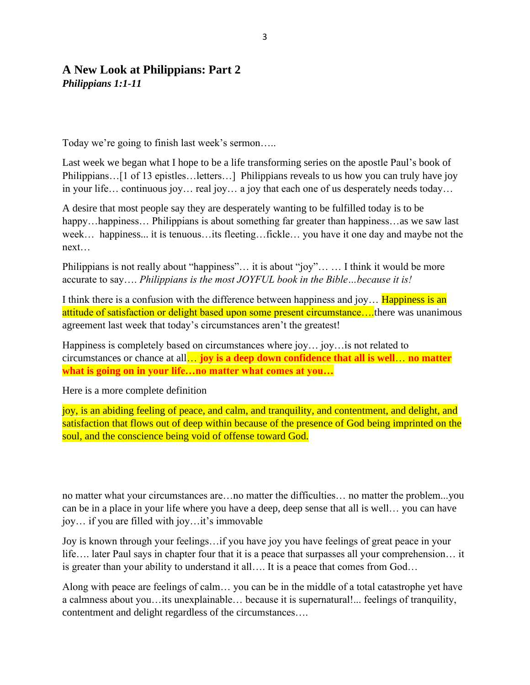### **A New Look at Philippians: Part 2** *Philippians 1:1-11*

Today we're going to finish last week's sermon…..

Last week we began what I hope to be a life transforming series on the apostle Paul's book of Philippians…[1 of 13 epistles…letters…] Philippians reveals to us how you can truly have joy in your life… continuous joy… real joy… a joy that each one of us desperately needs today…

A desire that most people say they are desperately wanting to be fulfilled today is to be happy…happiness… Philippians is about something far greater than happiness…as we saw last week… happiness... it is tenuous…its fleeting…fickle… you have it one day and maybe not the next…

Philippians is not really about "happiness"… it is about "joy"… … I think it would be more accurate to say…. *Philippians is the most JOYFUL book in the Bible…because it is!* 

I think there is a confusion with the difference between happiness and joy... **Happiness is an** attitude of satisfaction or delight based upon some present circumstance....there was unanimous agreement last week that today's circumstances aren't the greatest!

Happiness is completely based on circumstances where joy… joy…is not related to circumstances or chance at all… **joy is a deep down confidence that all is well**… **no matter what is going on in your life…no matter what comes at you…**

Here is a more complete definition

joy, is an abiding feeling of peace, and calm, and tranquility, and contentment, and delight, and satisfaction that flows out of deep within because of the presence of God being imprinted on the soul, and the conscience being void of offense toward God.

no matter what your circumstances are…no matter the difficulties… no matter the problem...you can be in a place in your life where you have a deep, deep sense that all is well… you can have joy… if you are filled with joy…it's immovable

Joy is known through your feelings…if you have joy you have feelings of great peace in your life…. later Paul says in chapter four that it is a peace that surpasses all your comprehension… it is greater than your ability to understand it all…. It is a peace that comes from God…

Along with peace are feelings of calm… you can be in the middle of a total catastrophe yet have a calmness about you…its unexplainable… because it is supernatural!... feelings of tranquility, contentment and delight regardless of the circumstances….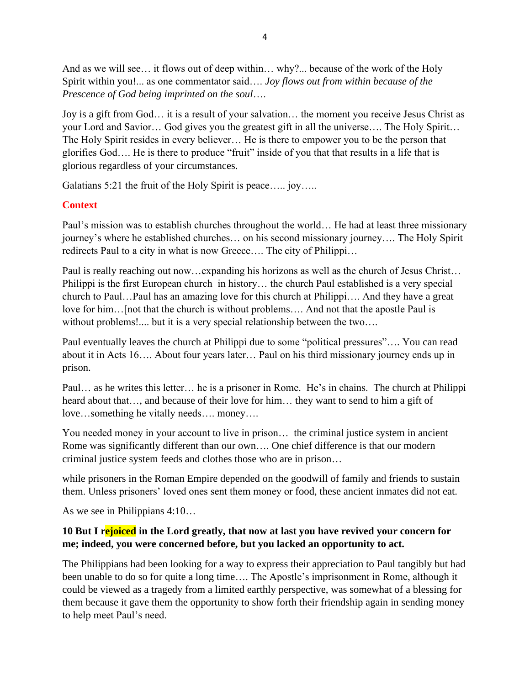And as we will see… it flows out of deep within… why?... because of the work of the Holy Spirit within you!... as one commentator said…. *Joy flows out from within because of the Prescence of God being imprinted on the soul*….

Joy is a gift from God… it is a result of your salvation… the moment you receive Jesus Christ as your Lord and Savior… God gives you the greatest gift in all the universe…. The Holy Spirit… The Holy Spirit resides in every believer… He is there to empower you to be the person that glorifies God…. He is there to produce "fruit" inside of you that that results in a life that is glorious regardless of your circumstances.

Galatians 5:21 the fruit of the Holy Spirit is peace..... joy.....

# **Context**

Paul's mission was to establish churches throughout the world… He had at least three missionary journey's where he established churches… on his second missionary journey…. The Holy Spirit redirects Paul to a city in what is now Greece…. The city of Philippi…

Paul is really reaching out now…expanding his horizons as well as the church of Jesus Christ… Philippi is the first European church in history… the church Paul established is a very special church to Paul…Paul has an amazing love for this church at Philippi…. And they have a great love for him…[not that the church is without problems…. And not that the apostle Paul is without problems!.... but it is a very special relationship between the two....

Paul eventually leaves the church at Philippi due to some "political pressures"…. You can read about it in Acts 16…. About four years later… Paul on his third missionary journey ends up in prison.

Paul… as he writes this letter… he is a prisoner in Rome. He's in chains. The church at Philippi heard about that…, and because of their love for him… they want to send to him a gift of love…something he vitally needs…. money….

You needed money in your account to live in prison… the criminal justice system in ancient Rome was significantly different than our own…. One chief difference is that our modern criminal justice system feeds and clothes those who are in prison…

while prisoners in the Roman Empire depended on the goodwill of family and friends to sustain them. Unless prisoners' loved ones sent them money or food, these ancient inmates did not eat.

As we see in Philippians 4:10…

# **10 But I rejoiced in the Lord greatly, that now at last you have revived your concern for me; indeed, you were concerned before, but you lacked an opportunity to act.**

The Philippians had been looking for a way to express their appreciation to Paul tangibly but had been unable to do so for quite a long time…. The Apostle's imprisonment in Rome, although it could be viewed as a tragedy from a limited earthly perspective, was somewhat of a blessing for them because it gave them the opportunity to show forth their friendship again in sending money to help meet Paul's need.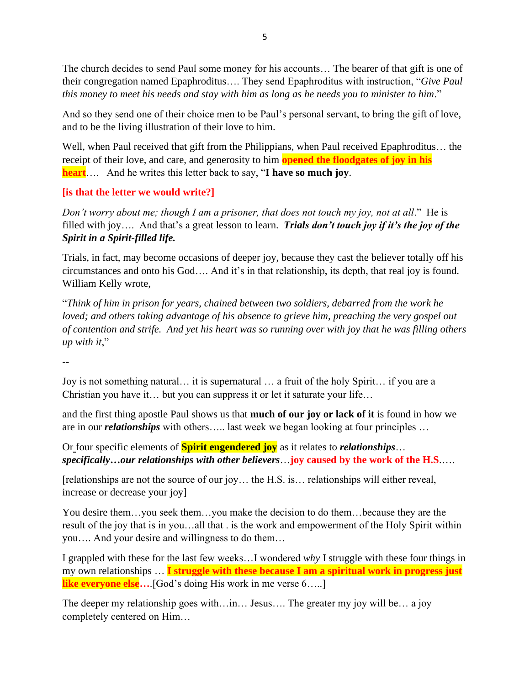The church decides to send Paul some money for his accounts… The bearer of that gift is one of their congregation named Epaphroditus…. They send Epaphroditus with instruction, "*Give Paul this money to meet his needs and stay with him as long as he needs you to minister to him*."

And so they send one of their choice men to be Paul's personal servant, to bring the gift of love, and to be the living illustration of their love to him.

Well, when Paul received that gift from the Philippians, when Paul received Epaphroditus… the receipt of their love, and care, and generosity to him **opened the floodgates of joy in his heart**…. And he writes this letter back to say, "**I have so much joy**.

# **[is that the letter we would write?]**

*Don't worry about me; though I am a prisoner, that does not touch my joy, not at all*." He is filled with joy…. And that's a great lesson to learn. *Trials don't touch joy if it's the joy of the Spirit in a Spirit-filled life.*

Trials, in fact, may become occasions of deeper joy, because they cast the believer totally off his circumstances and onto his God…. And it's in that relationship, its depth, that real joy is found. William Kelly wrote,

"*Think of him in prison for years, chained between two soldiers, debarred from the work he loved; and others taking advantage of his absence to grieve him, preaching the very gospel out of contention and strife. And yet his heart was so running over with joy that he was filling others up with it*,"

--

Joy is not something natural… it is supernatural … a fruit of the holy Spirit… if you are a Christian you have it… but you can suppress it or let it saturate your life…

and the first thing apostle Paul shows us that **much of our joy or lack of it** is found in how we are in our *relationships* with others….. last week we began looking at four principles …

Or four specific elements of **Spirit engendered joy** as it relates to *relationships*… *specifically…our relationships with other believers*…**joy caused by the work of the H.S**.….

[relationships are not the source of our joy… the H.S. is… relationships will either reveal, increase or decrease your joy]

You desire them…you seek them…you make the decision to do them…because they are the result of the joy that is in you…all that . is the work and empowerment of the Holy Spirit within you…. And your desire and willingness to do them…

I grappled with these for the last few weeks…I wondered *why* I struggle with these four things in my own relationships … **I struggle with these because I am a spiritual work in progress just like everyone else...** [God's doing His work in me verse 6.....]

The deeper my relationship goes with…in… Jesus…. The greater my joy will be… a joy completely centered on Him…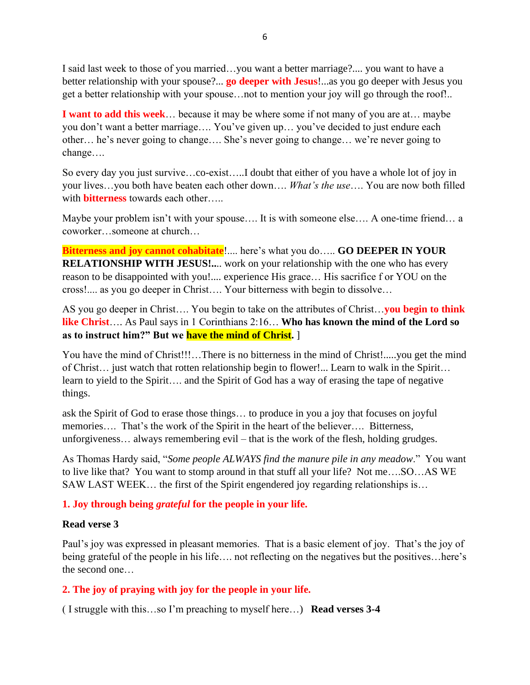I said last week to those of you married…you want a better marriage?.... you want to have a better relationship with your spouse?... **go deeper with Jesus**!...as you go deeper with Jesus you get a better relationship with your spouse…not to mention your joy will go through the roof!..

**I want to add this week**… because it may be where some if not many of you are at… maybe you don't want a better marriage…. You've given up… you've decided to just endure each other… he's never going to change…. She's never going to change… we're never going to change….

So every day you just survive…co-exist…..I doubt that either of you have a whole lot of joy in your lives…you both have beaten each other down…. *What's the use*…. You are now both filled with **bitterness** towards each other…..

Maybe your problem isn't with your spouse…. It is with someone else…. A one-time friend… a coworker…someone at church…

**Bitterness and joy cannot cohabitate**!.... here's what you do….. **GO DEEPER IN YOUR RELATIONSHIP WITH JESUS!..**.. work on your relationship with the one who has every reason to be disappointed with you!.... experience His grace… His sacrifice f or YOU on the cross!.... as you go deeper in Christ…. Your bitterness with begin to dissolve…

AS you go deeper in Christ…. You begin to take on the attributes of Christ…**you begin to think like Christ**…. As Paul says in 1 Corinthians 2:16… **Who has known the mind of the Lord so as to instruct him?" But we have the mind of Christ.** ]

You have the mind of Christ!!!…There is no bitterness in the mind of Christ!.....you get the mind of Christ… just watch that rotten relationship begin to flower!... Learn to walk in the Spirit… learn to yield to the Spirit…. and the Spirit of God has a way of erasing the tape of negative things.

ask the Spirit of God to erase those things… to produce in you a joy that focuses on joyful memories.... That's the work of the Spirit in the heart of the believer.... Bitterness, unforgiveness… always remembering evil – that is the work of the flesh, holding grudges.

As Thomas Hardy said, "*Some people ALWAYS find the manure pile in any meadow*." You want to live like that? You want to stomp around in that stuff all your life? Not me….SO…AS WE SAW LAST WEEK… the first of the Spirit engendered joy regarding relationships is…

### **1. Joy through being** *grateful* **for the people in your life.**

#### **Read verse 3**

Paul's joy was expressed in pleasant memories. That is a basic element of joy. That's the joy of being grateful of the people in his life.... not reflecting on the negatives but the positives...here's the second one…

### **2. The joy of praying with joy for the people in your life.**

( I struggle with this…so I'm preaching to myself here…) **Read verses 3-4**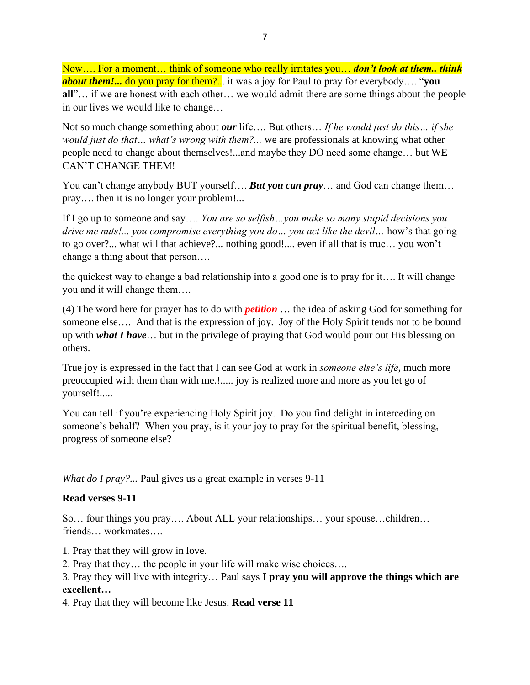Now…. For a moment… think of someone who really irritates you… *don't look at them.. think about them!...* do you pray for them?... it was a joy for Paul to pray for everybody…. "**you all**"… if we are honest with each other… we would admit there are some things about the people in our lives we would like to change…

Not so much change something about *our* life…. But others… *If he would just do this… if she would just do that… what's wrong with them?...* we are professionals at knowing what other people need to change about themselves!...and maybe they DO need some change… but WE CAN'T CHANGE THEM!

You can't change anybody BUT yourself.... **But you can pray**... and God can change them... pray…. then it is no longer your problem!...

If I go up to someone and say…. *You are so selfish…you make so many stupid decisions you drive me nuts!... you compromise everything you do… you act like the devil…* how's that going to go over?... what will that achieve?... nothing good!.... even if all that is true… you won't change a thing about that person….

the quickest way to change a bad relationship into a good one is to pray for it…. It will change you and it will change them….

(4) The word here for prayer has to do with *petition* … the idea of asking God for something for someone else.... And that is the expression of joy. Joy of the Holy Spirit tends not to be bound up with *what I have*… but in the privilege of praying that God would pour out His blessing on others.

True joy is expressed in the fact that I can see God at work in *someone else's life*, much more preoccupied with them than with me.!..... joy is realized more and more as you let go of yourself!.....

You can tell if you're experiencing Holy Spirit joy. Do you find delight in interceding on someone's behalf? When you pray, is it your joy to pray for the spiritual benefit, blessing, progress of someone else?

*What do I pray?...* Paul gives us a great example in verses 9-11

### **Read verses 9-11**

So… four things you pray…. About ALL your relationships… your spouse…children… friends… workmates….

1. Pray that they will grow in love.

2. Pray that they… the people in your life will make wise choices….

3. Pray they will live with integrity… Paul says **I pray you will approve the things which are excellent…**

4. Pray that they will become like Jesus. **Read verse 11**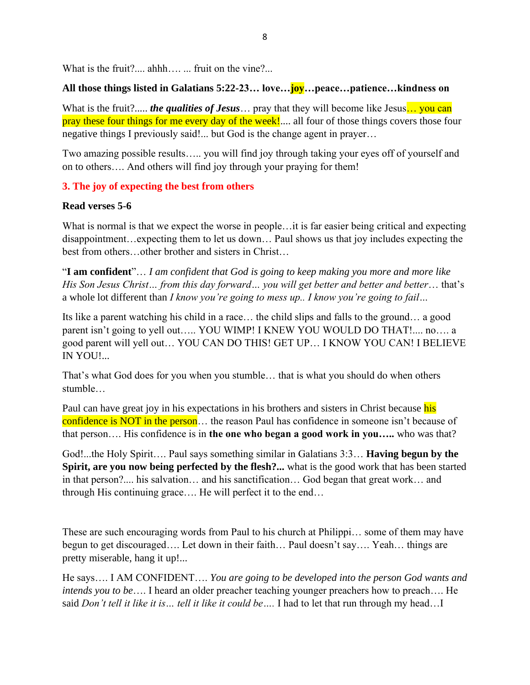What is the fruit?.... ahhh…..... fruit on the vine?...

### **All those things listed in Galatians 5:22-23… love…joy…peace…patience…kindness on**

What is the fruit?..... *the qualities of Jesus* ... pray that they will become like Jesus... you can pray these four things for me every day of the week!.... all four of those things covers those four negative things I previously said!... but God is the change agent in prayer…

Two amazing possible results….. you will find joy through taking your eyes off of yourself and on to others…. And others will find joy through your praying for them!

### **3. The joy of expecting the best from others**

### **Read verses 5-6**

What is normal is that we expect the worse in people…it is far easier being critical and expecting disappointment…expecting them to let us down… Paul shows us that joy includes expecting the best from others…other brother and sisters in Christ…

"**I am confident**"… *I am confident that God is going to keep making you more and more like His Son Jesus Christ… from this day forward… you will get better and better and better*… that's a whole lot different than *I know you're going to mess up.. I know you're going to fail…*

Its like a parent watching his child in a race… the child slips and falls to the ground… a good parent isn't going to yell out….. YOU WIMP! I KNEW YOU WOULD DO THAT!.... no…. a good parent will yell out… YOU CAN DO THIS! GET UP… I KNOW YOU CAN! I BELIEVE IN YOU!...

That's what God does for you when you stumble… that is what you should do when others stumble…

Paul can have great joy in his expectations in his brothers and sisters in Christ because his confidence is NOT in the person... the reason Paul has confidence in someone isn't because of that person…. His confidence is in **the one who began a good work in you…..** who was that?

God!...the Holy Spirit…. Paul says something similar in Galatians 3:3… **Having begun by the Spirit, are you now being perfected by the flesh?...** what is the good work that has been started in that person?.... his salvation… and his sanctification… God began that great work… and through His continuing grace…. He will perfect it to the end…

These are such encouraging words from Paul to his church at Philippi… some of them may have begun to get discouraged…. Let down in their faith… Paul doesn't say…. Yeah… things are pretty miserable, hang it up!...

He says…. I AM CONFIDENT…. *You are going to be developed into the person God wants and intends you to be*…. I heard an older preacher teaching younger preachers how to preach…. He said *Don't tell it like it is… tell it like it could be….* I had to let that run through my head…I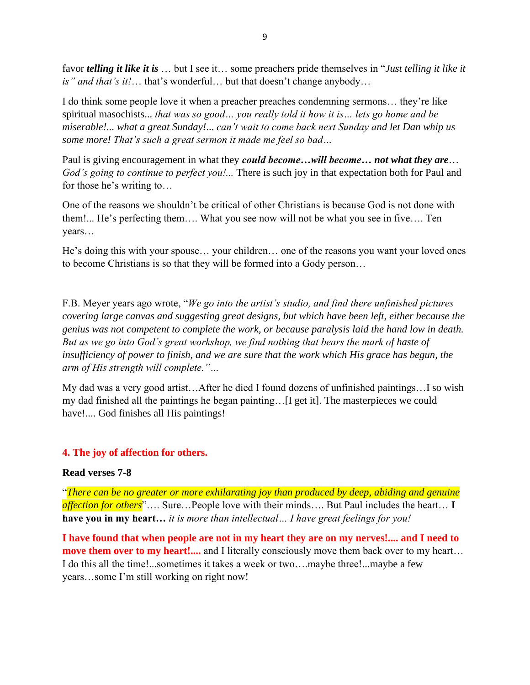favor *telling it like it is* … but I see it… some preachers pride themselves in "*Just telling it like it is" and that's it!*… that's wonderful… but that doesn't change anybody…

I do think some people love it when a preacher preaches condemning sermons… they're like spiritual masochists... *that was so good… you really told it how it is… lets go home and be miserable!... what a great Sunday!*... *can't wait to come back next Sunday and let Dan whip us some more! That's such a great sermon it made me feel so bad…* 

Paul is giving encouragement in what they *could become…will become… not what they are*… *God's going to continue to perfect you!...* There is such joy in that expectation both for Paul and for those he's writing to…

One of the reasons we shouldn't be critical of other Christians is because God is not done with them!... He's perfecting them…. What you see now will not be what you see in five…. Ten years…

He's doing this with your spouse… your children… one of the reasons you want your loved ones to become Christians is so that they will be formed into a Gody person…

F.B. Meyer years ago wrote, "*We go into the artist's studio, and find there unfinished pictures covering large canvas and suggesting great designs, but which have been left, either because the genius was not competent to complete the work, or because paralysis laid the hand low in death. But as we go into God's great workshop, we find nothing that bears the mark of haste of*  insufficiency of power to finish, and we are sure that the work which His grace has begun, the *arm of His strength will complete."…*

My dad was a very good artist…After he died I found dozens of unfinished paintings…I so wish my dad finished all the paintings he began painting…[I get it]. The masterpieces we could have!.... God finishes all His paintings!

#### **4. The joy of affection for others.**

#### **Read verses 7-8**

"*There can be no greater or more exhilarating joy than produced by deep, abiding and genuine affection for others*"…. Sure…People love with their minds…. But Paul includes the heart… **I have you in my heart…** *it is more than intellectual… I have great feelings for you!*

**I have found that when people are not in my heart they are on my nerves!.... and I need to move them over to my heart!....** and I literally consciously move them back over to my heart... I do this all the time!...sometimes it takes a week or two….maybe three!...maybe a few years…some I'm still working on right now!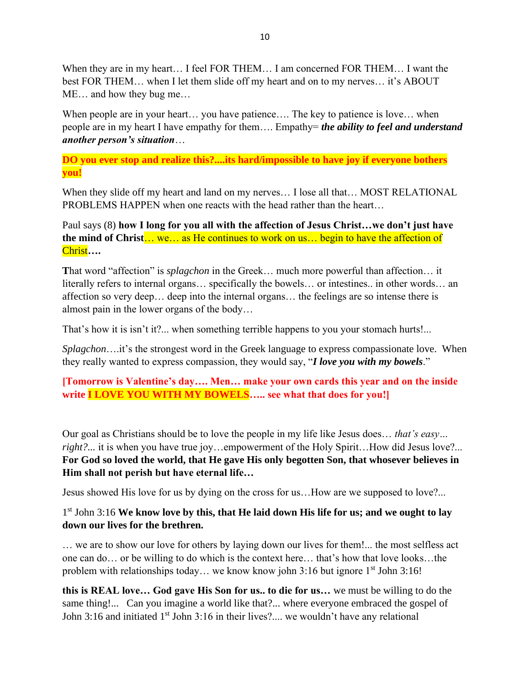When they are in my heart… I feel FOR THEM… I am concerned FOR THEM… I want the best FOR THEM… when I let them slide off my heart and on to my nerves… it's ABOUT ME… and how they bug me…

When people are in your heart... you have patience.... The key to patience is love... when people are in my heart I have empathy for them…. Empathy= *the ability to feel and understand another person's situation*…

**DO you ever stop and realize this?....its hard/impossible to have joy if everyone bothers you!**

When they slide off my heart and land on my nerves… I lose all that… MOST RELATIONAL PROBLEMS HAPPEN when one reacts with the head rather than the heart…

Paul says (8) **how I long for you all with the affection of Jesus Christ…we don't just have the mind of Christ**… we… as He continues to work on us… begin to have the affection of Christ**….**

**T**hat word "affection" is *splagchon* in the Greek… much more powerful than affection… it literally refers to internal organs… specifically the bowels… or intestines.. in other words… an affection so very deep… deep into the internal organs… the feelings are so intense there is almost pain in the lower organs of the body…

That's how it is isn't it?... when something terrible happens to you your stomach hurts!...

*Splagchon*….it's the strongest word in the Greek language to express compassionate love. When they really wanted to express compassion, they would say, "*I love you with my bowels*."

**[Tomorrow is Valentine's day…. Men… make your own cards this year and on the inside write I LOVE YOU WITH MY BOWELS….. see what that does for you!]**

Our goal as Christians should be to love the people in my life like Jesus does… *that's easy… right?...* it is when you have true joy...empowerment of the Holy Spirit...How did Jesus love?... **For God so loved the world, that He gave His only begotten Son, that whosever believes in Him shall not perish but have eternal life…** 

Jesus showed His love for us by dying on the cross for us…How are we supposed to love?...

## 1<sup>st</sup> John 3:16 We know love by this, that He laid down His life for us; and we ought to lay **down our lives for the brethren.**

… we are to show our love for others by laying down our lives for them!... the most selfless act one can do… or be willing to do which is the context here… that's how that love looks…the problem with relationships today... we know know john 3:16 but ignore 1<sup>st</sup> John 3:16!

**this is REAL love… God gave His Son for us.. to die for us…** we must be willing to do the same thing!... Can you imagine a world like that?... where everyone embraced the gospel of John 3:16 and initiated 1<sup>st</sup> John 3:16 in their lives?.... we wouldn't have any relational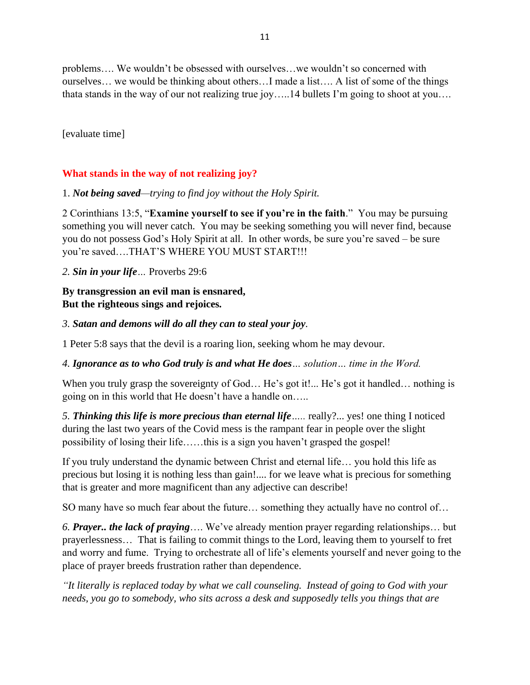problems…. We wouldn't be obsessed with ourselves…we wouldn't so concerned with ourselves… we would be thinking about others…I made a list…. A list of some of the things thata stands in the way of our not realizing true joy…..14 bullets I'm going to shoot at you….

[evaluate time]

# **What stands in the way of not realizing joy?**

#### 1. *Not being saved—trying to find joy without the Holy Spirit.*

2 Corinthians 13:5, "**Examine yourself to see if you're in the faith**." You may be pursuing something you will never catch. You may be seeking something you will never find, because you do not possess God's Holy Spirit at all. In other words, be sure you're saved – be sure you're saved….THAT'S WHERE YOU MUST START!!!

*2. Sin in your life…* Proverbs 29:6

## **By transgression an evil man is ensnared, But the righteous sings and rejoices***.*

#### *3. Satan and demons will do all they can to steal your joy.*

1 Peter 5:8 says that the devil is a roaring lion, seeking whom he may devour.

*4. Ignorance as to who God truly is and what He does… solution… time in the Word.*

When you truly grasp the sovereignty of God... He's got it!... He's got it handled... nothing is going on in this world that He doesn't have a handle on…..

*5. Thinking this life is more precious than eternal life…..* really?... yes! one thing I noticed during the last two years of the Covid mess is the rampant fear in people over the slight possibility of losing their life……this is a sign you haven't grasped the gospel!

If you truly understand the dynamic between Christ and eternal life… you hold this life as precious but losing it is nothing less than gain!.... for we leave what is precious for something that is greater and more magnificent than any adjective can describe!

SO many have so much fear about the future… something they actually have no control of…

*6. Prayer.. the lack of praying*…. We've already mention prayer regarding relationships… but prayerlessness… That is failing to commit things to the Lord, leaving them to yourself to fret and worry and fume. Trying to orchestrate all of life's elements yourself and never going to the place of prayer breeds frustration rather than dependence.

*"It literally is replaced today by what we call counseling. Instead of going to God with your needs, you go to somebody, who sits across a desk and supposedly tells you things that are*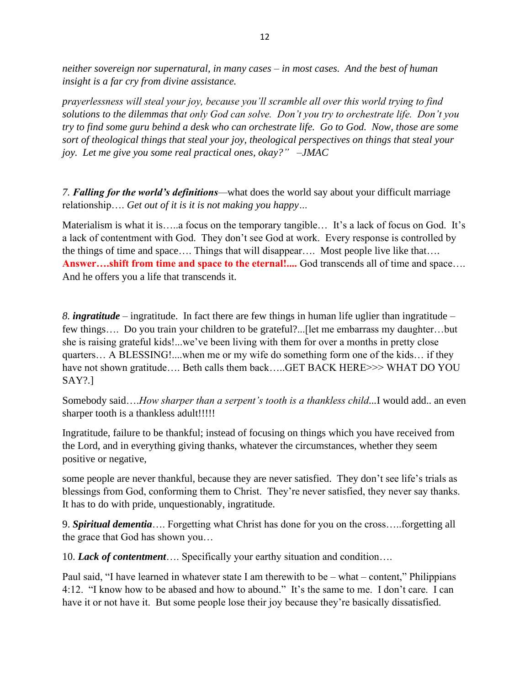*neither sovereign nor supernatural, in many cases – in most cases. And the best of human insight is a far cry from divine assistance.*

*prayerlessness will steal your joy, because you'll scramble all over this world trying to find solutions to the dilemmas that only God can solve. Don't you try to orchestrate life. Don't you try to find some guru behind a desk who can orchestrate life. Go to God. Now, those are some sort of theological things that steal your joy, theological perspectives on things that steal your joy. Let me give you some real practical ones, okay?" –JMAC* 

*7. Falling for the world's definitions—*what does the world say about your difficult marriage relationship…. *Get out of it is it is not making you happy…* 

Materialism is what it is…..a focus on the temporary tangible… It's a lack of focus on God. It's a lack of contentment with God. They don't see God at work. Every response is controlled by the things of time and space…. Things that will disappear…. Most people live like that…. **Answer….shift from time and space to the eternal!....** God transcends all of time and space…. And he offers you a life that transcends it.

*8. ingratitude* – ingratitude. In fact there are few things in human life uglier than ingratitude – few things…. Do you train your children to be grateful?...[let me embarrass my daughter…but she is raising grateful kids!...we've been living with them for over a months in pretty close quarters… A BLESSING!....when me or my wife do something form one of the kids… if they have not shown gratitude.... Beth calls them back.....GET BACK HERE>>> WHAT DO YOU SAY?.]

Somebody said….*How sharper than a serpent's tooth is a thankless child...*I would add.. an even sharper tooth is a thankless adult!!!!!

Ingratitude, failure to be thankful; instead of focusing on things which you have received from the Lord, and in everything giving thanks, whatever the circumstances, whether they seem positive or negative,

some people are never thankful, because they are never satisfied. They don't see life's trials as blessings from God, conforming them to Christ. They're never satisfied, they never say thanks. It has to do with pride, unquestionably, ingratitude.

9. *Spiritual dementia*…. Forgetting what Christ has done for you on the cross…..forgetting all the grace that God has shown you…

10. *Lack of contentment*…. Specifically your earthy situation and condition….

Paul said, "I have learned in whatever state I am therewith to be – what – content," Philippians 4:12. "I know how to be abased and how to abound." It's the same to me. I don't care. I can have it or not have it. But some people lose their joy because they're basically dissatisfied.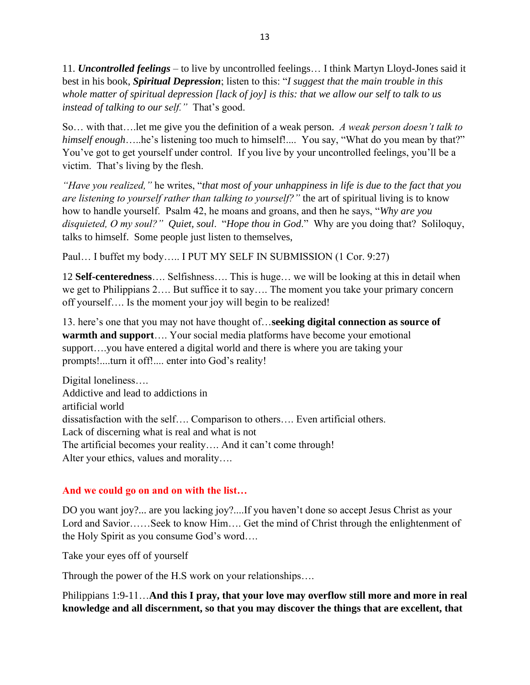11. *Uncontrolled feelings* – to live by uncontrolled feelings… I think Martyn Lloyd-Jones said it best in his book, *Spiritual Depression*; listen to this: "*I suggest that the main trouble in this whole matter of spiritual depression [lack of joy] is this: that we allow our self to talk to us instead of talking to our self."* That's good.

So… with that….let me give you the definition of a weak person. *A weak person doesn't talk to himself enough*…..he's listening too much to himself!.... You say, "What do you mean by that?" You've got to get yourself under control. If you live by your uncontrolled feelings, you'll be a victim. That's living by the flesh.

*"Have you realized,"* he writes, "*that most of your unhappiness in life is due to the fact that you are listening to yourself rather than talking to yourself?"* the art of spiritual living is to know how to handle yourself. Psalm 42, he moans and groans, and then he says, "*Why are you disquieted, O my soul?" Quiet, soul*. "*Hope thou in God*." Why are you doing that? Soliloquy, talks to himself. Some people just listen to themselves,

Paul… I buffet my body….. I PUT MY SELF IN SUBMISSION (1 Cor. 9:27)

12 **Self-centeredness**…. Selfishness…. This is huge… we will be looking at this in detail when we get to Philippians 2…. But suffice it to say…. The moment you take your primary concern off yourself…. Is the moment your joy will begin to be realized!

13. here's one that you may not have thought of…**seeking digital connection as source of warmth and support**…. Your social media platforms have become your emotional support….you have entered a digital world and there is where you are taking your prompts!....turn it off!.... enter into God's reality!

Digital loneliness…. Addictive and lead to addictions in artificial world dissatisfaction with the self…. Comparison to others…. Even artificial others. Lack of discerning what is real and what is not The artificial becomes your reality…. And it can't come through! Alter your ethics, values and morality….

### **And we could go on and on with the list…**

DO you want joy?... are you lacking joy?....If you haven't done so accept Jesus Christ as your Lord and Savior……Seek to know Him…. Get the mind of Christ through the enlightenment of the Holy Spirit as you consume God's word….

Take your eyes off of yourself

Through the power of the H.S work on your relationships….

Philippians 1:9-11…**And this I pray, that your love may overflow still more and more in real knowledge and all discernment, so that you may discover the things that are excellent, that**